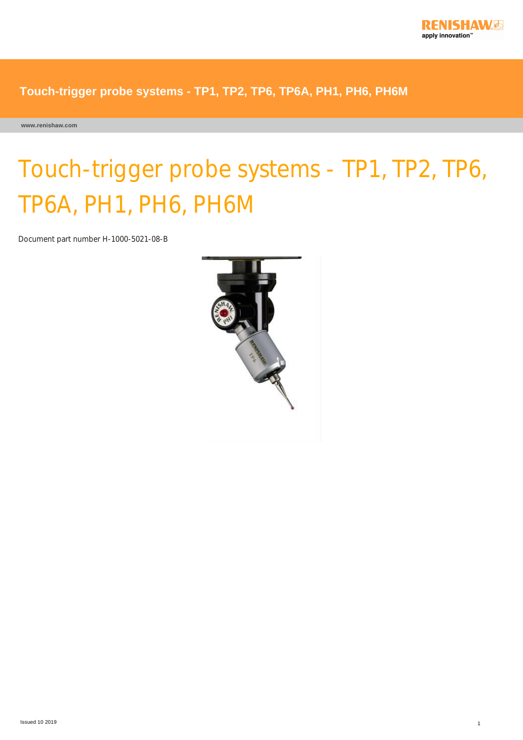

**www.renishaw.com**

# Touch-trigger probe systems - TP1, TP2, TP6, TP6A, PH1, PH6, PH6M

Document part number H-1000-5021-08-B

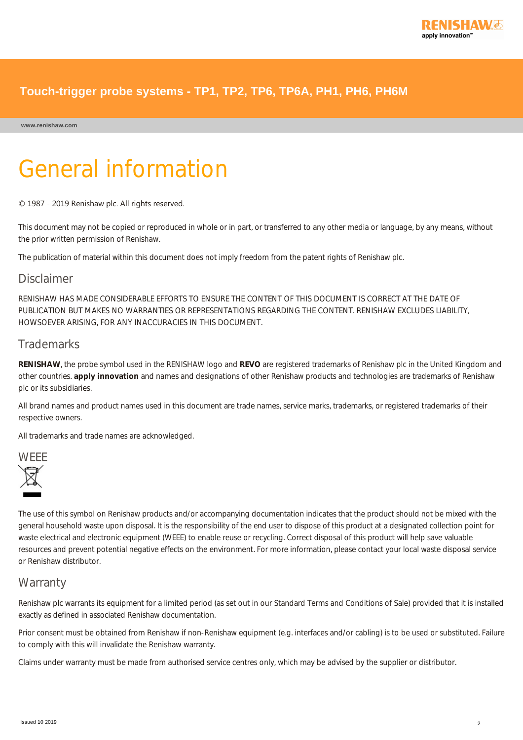#### **www.renishaw.com**

# General information

© 1987 ‐ 2019 Renishaw plc. All rights reserved.

This document may not be copied or reproduced in whole or in part, or transferred to any other media or language, by any means, without the prior written permission of Renishaw.

The publication of material within this document does not imply freedom from the patent rights of Renishaw plc.

#### Disclaimer

RENISHAW HAS MADE CONSIDERABLE EFFORTS TO ENSURE THE CONTENT OF THIS DOCUMENT IS CORRECT AT THE DATE OF PUBLICATION BUT MAKES NO WARRANTIES OR REPRESENTATIONS REGARDING THE CONTENT. RENISHAW EXCLUDES LIABILITY, HOWSOEVER ARISING, FOR ANY INACCURACIES IN THIS DOCUMENT.

#### **Trademarks**

**RENISHAW**, the probe symbol used in the RENISHAW logo and **REVO** are registered trademarks of Renishaw plc in the United Kingdom and other countries. **apply innovation** and names and designations of other Renishaw products and technologies are trademarks of Renishaw plc or its subsidiaries.

All brand names and product names used in this document are trade names, service marks, trademarks, or registered trademarks of their respective owners.

All trademarks and trade names are acknowledged.



The use of this symbol on Renishaw products and/or accompanying documentation indicates that the product should not be mixed with the general household waste upon disposal. It is the responsibility of the end user to dispose of this product at a designated collection point for waste electrical and electronic equipment (WEEE) to enable reuse or recycling. Correct disposal of this product will help save valuable resources and prevent potential negative effects on the environment. For more information, please contact your local waste disposal service or Renishaw distributor.

#### **Warranty**

Renishaw plc warrants its equipment for a limited period (as set out in our Standard Terms and Conditions of Sale) provided that it is installed exactly as defined in associated Renishaw documentation.

Prior consent must be obtained from Renishaw if non-Renishaw equipment (e.g. interfaces and/or cabling) is to be used or substituted. Failure to comply with this will invalidate the Renishaw warranty.

Claims under warranty must be made from authorised service centres only, which may be advised by the supplier or distributor.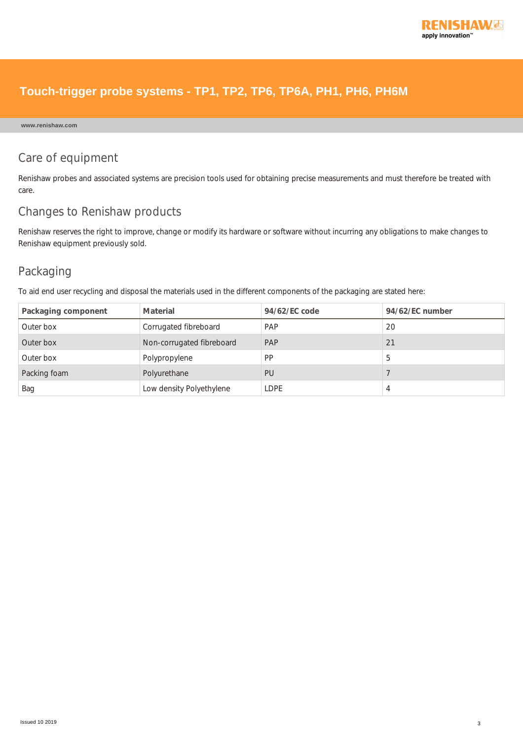

#### **www.renishaw.com**

### Care of equipment

Renishaw probes and associated systems are precision tools used for obtaining precise measurements and must therefore be treated with care.

#### Changes to Renishaw products

Renishaw reserves the right to improve, change or modify its hardware or software without incurring any obligations to make changes to Renishaw equipment previously sold.

### Packaging

To aid end user recycling and disposal the materials used in the different components of the packaging are stated here:

| Packaging component | Material                  | 94/62/EC code | 94/62/EC number |
|---------------------|---------------------------|---------------|-----------------|
| Outer box           | Corrugated fibreboard     | PAP           | 20              |
| Outer box           | Non-corrugated fibreboard | PAP           | 21              |
| Outer box           | Polypropylene             | <b>PP</b>     | b               |
| Packing foam        | Polyurethane              | PU            |                 |
| Bag                 | Low density Polyethylene  | <b>LDPE</b>   | 4               |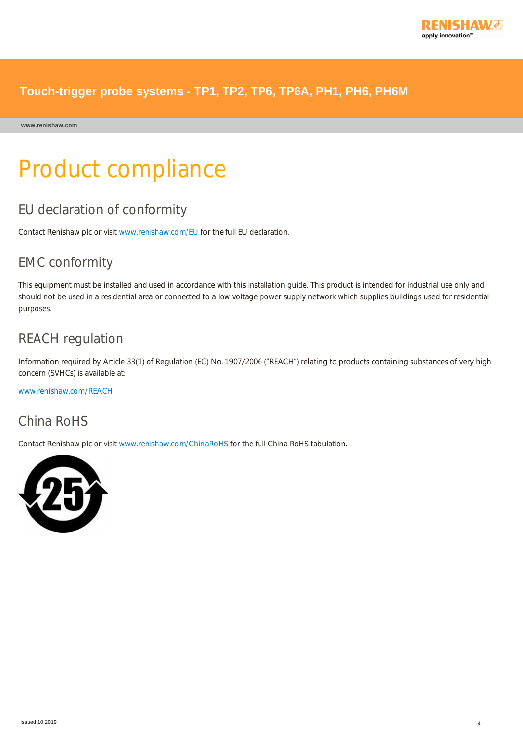

**www.renishaw.com**

# Product compliance

## EU declaration of conformity

Contact Renishaw plc or visit [www.renishaw.com/EU](http://www.renishaw.com/EU) for the full EU declaration.

## EMC conformity

This equipment must be installed and used in accordance with this installation guide. This product is intended for industrial use only and should not be used in a residential area or connected to a low voltage power supply network which supplies buildings used for residential purposes.

## REACH regulation

Information required by Article 33(1) of Regulation (EC) No. 1907/2006 ("REACH") relating to products containing substances of very high concern (SVHCs) is available at:

[www.renishaw.com/REACH](http://www.renishaw.com/REACH)

## China RoHS

Contact Renishaw plc or visit [www.renishaw.com/ChinaRoHS](http://www.renishaw.com/ChinaRoHS) for the full China RoHS tabulation.

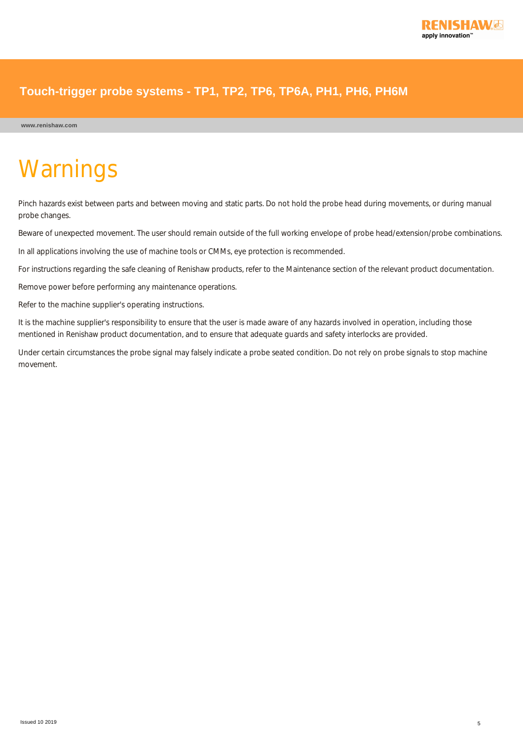

# **Warnings**

Pinch hazards exist between parts and between moving and static parts. Do not hold the probe head during movements, or during manual probe changes.

Beware of unexpected movement. The user should remain outside of the full working envelope of probe head/extension/probe combinations.

In all applications involving the use of machine tools or CMMs, eye protection is recommended.

For instructions regarding the safe cleaning of Renishaw products, refer to the Maintenance section of the relevant product documentation.

Remove power before performing any maintenance operations.

Refer to the machine supplier's operating instructions.

It is the machine supplier's responsibility to ensure that the user is made aware of any hazards involved in operation, including those mentioned in Renishaw product documentation, and to ensure that adequate guards and safety interlocks are provided.

Under certain circumstances the probe signal may falsely indicate a probe seated condition. Do not rely on probe signals to stop machine movement.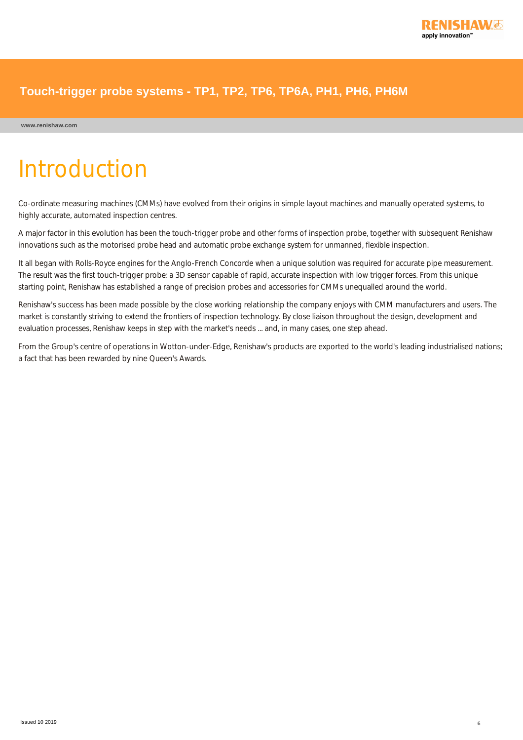

# Introduction

Co-ordinate measuring machines (CMMs) have evolved from their origins in simple layout machines and manually operated systems, to highly accurate, automated inspection centres.

A major factor in this evolution has been the touch-trigger probe and other forms of inspection probe, together with subsequent Renishaw innovations such as the motorised probe head and automatic probe exchange system for unmanned, flexible inspection.

It all began with Rolls-Royce engines for the Anglo-French Concorde when a unique solution was required for accurate pipe measurement. The result was the first touch-trigger probe: a 3D sensor capable of rapid, accurate inspection with low trigger forces. From this unique starting point, Renishaw has established a range of precision probes and accessories for CMMs unequalled around the world.

Renishaw's success has been made possible by the close working relationship the company enjoys with CMM manufacturers and users. The market is constantly striving to extend the frontiers of inspection technology. By close liaison throughout the design, development and evaluation processes, Renishaw keeps in step with the market's needs ... and, in many cases, one step ahead.

From the Group's centre of operations in Wotton-under-Edge, Renishaw's products are exported to the world's leading industrialised nations; a fact that has been rewarded by nine Queen's Awards.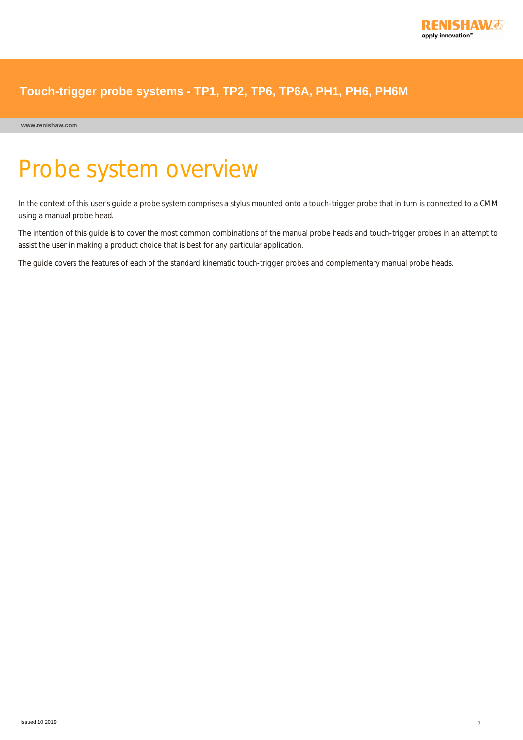

**www.renishaw.com**

# Probe system overview

In the context of this user's guide a probe system comprises a stylus mounted onto a touch-trigger probe that in turn is connected to a CMM using a manual probe head.

The intention of this guide is to cover the most common combinations of the manual probe heads and touch-trigger probes in an attempt to assist the user in making a product choice that is best for any particular application.

The guide covers the features of each of the standard kinematic touch-trigger probes and complementary manual probe heads.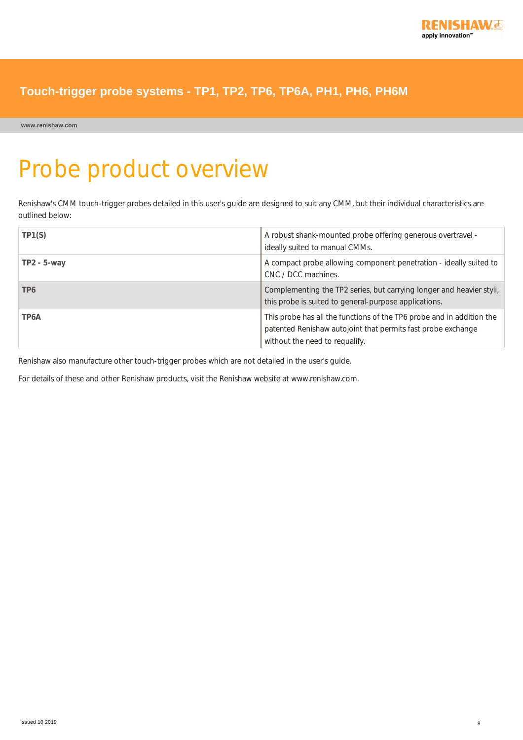

**www.renishaw.com**

# Probe product overview

Renishaw's CMM touch-trigger probes detailed in this user's guide are designed to suit any CMM, but their individual characteristics are outlined below:

| TP1(S)            | A robust shank-mounted probe offering generous overtravel -<br>ideally suited to manual CMMs.                                                                           |
|-------------------|-------------------------------------------------------------------------------------------------------------------------------------------------------------------------|
| $TP2 - 5 - way$   | A compact probe allowing component penetration - ideally suited to<br>CNC / DCC machines.                                                                               |
| TP6               | Complementing the TP2 series, but carrying longer and heavier styli,<br>this probe is suited to general-purpose applications.                                           |
| TP <sub>6</sub> A | This probe has all the functions of the TP6 probe and in addition the<br>patented Renishaw autojoint that permits fast probe exchange<br>without the need to requalify. |

Renishaw also manufacture other touch-trigger probes which are not detailed in the user's guide.

For details of these and other Renishaw products, visit the Renishaw website at www.renishaw.com.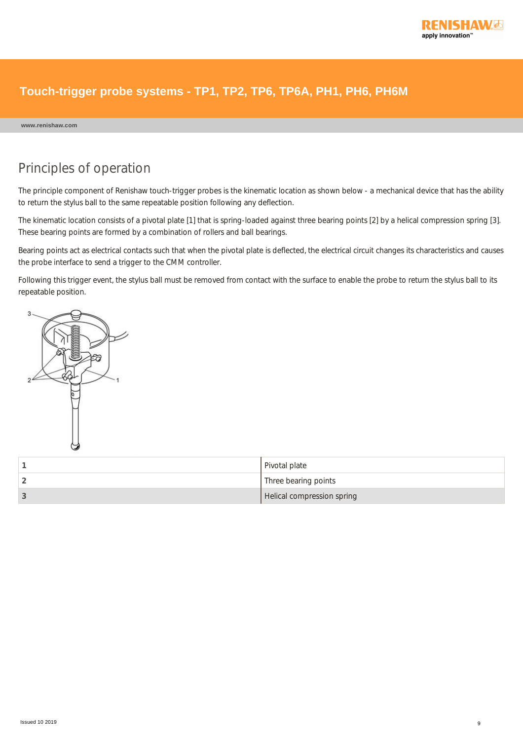

#### **www.renishaw.com**

## Principles of operation

The principle component of Renishaw touch-trigger probes is the kinematic location as shown below - a mechanical device that has the ability to return the stylus ball to the same repeatable position following any deflection.

The kinematic location consists of a pivotal plate [1] that is spring-loaded against three bearing points [2] by a helical compression spring [3]. These bearing points are formed by a combination of rollers and ball bearings.

Bearing points act as electrical contacts such that when the pivotal plate is deflected, the electrical circuit changes its characteristics and causes the probe interface to send a trigger to the CMM controller.

Following this trigger event, the stylus ball must be removed from contact with the surface to enable the probe to return the stylus ball to its repeatable position.



| Pivotal plate              |
|----------------------------|
| Three bearing points       |
| Helical compression spring |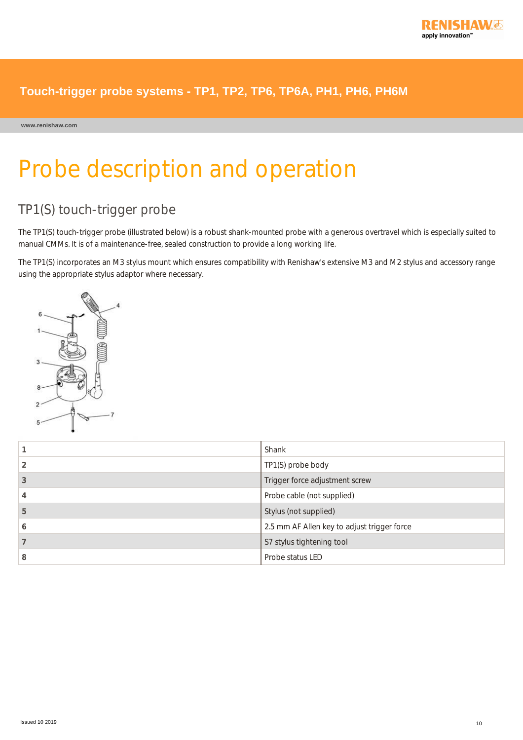

**www.renishaw.com**

# Probe description and operation

## TP1(S) touch-trigger probe

The TP1(S) touch-trigger probe (illustrated below) is a robust shank-mounted probe with a generous overtravel which is especially suited to manual CMMs. It is of a maintenance-free, sealed construction to provide a long working life.

The TP1(S) incorporates an M3 stylus mount which ensures compatibility with Renishaw's extensive M3 and M2 stylus and accessory range using the appropriate stylus adaptor where necessary.



|   | Shank                                       |
|---|---------------------------------------------|
|   | TP1(S) probe body                           |
| 3 | Trigger force adjustment screw              |
|   | Probe cable (not supplied)                  |
| 5 | Stylus (not supplied)                       |
| O | 2.5 mm AF Allen key to adjust trigger force |
|   | S7 stylus tightening tool                   |
| 8 | Probe status LED                            |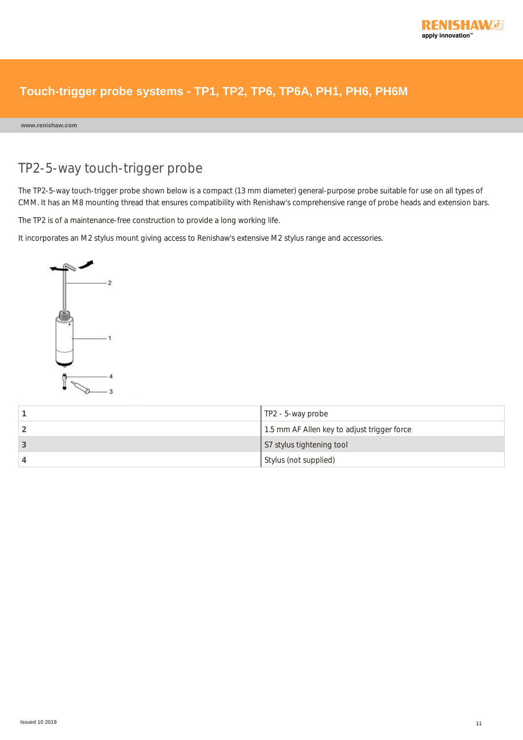

**www.renishaw.com**

## TP2-5-way touch-trigger probe

The TP2-5-way touch-trigger probe shown below is a compact (13 mm diameter) general-purpose probe suitable for use on all types of CMM. It has an M8 mounting thread that ensures compatibility with Renishaw's comprehensive range of probe heads and extension bars.

The TP2 is of a maintenance-free construction to provide a long working life.

It incorporates an M2 stylus mount giving access to Renishaw's extensive M2 stylus range and accessories.



| $\vert$ TP2 - 5-way probe                   |
|---------------------------------------------|
| 1.5 mm AF Allen key to adjust trigger force |
| S7 stylus tightening tool                   |
| Stylus (not supplied)                       |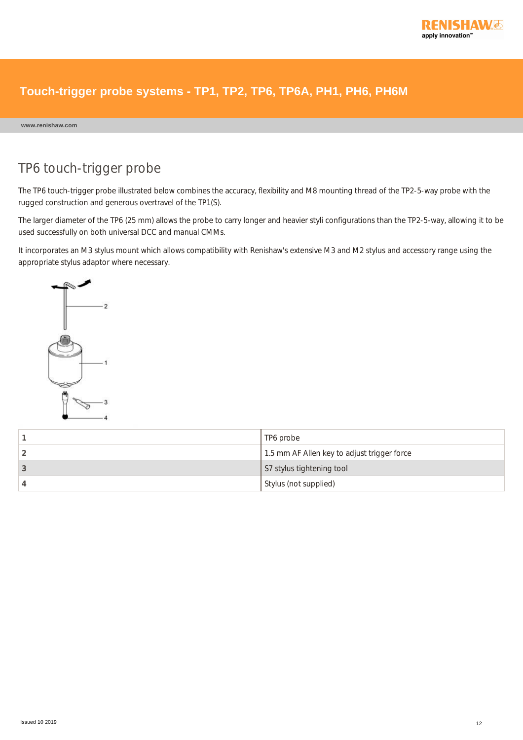

#### **www.renishaw.com**

## TP6 touch-trigger probe

The TP6 touch-trigger probe illustrated below combines the accuracy, flexibility and M8 mounting thread of the TP2-5-way probe with the rugged construction and generous overtravel of the TP1(S).

The larger diameter of the TP6 (25 mm) allows the probe to carry longer and heavier styli configurations than the TP2-5-way, allowing it to be used successfully on both universal DCC and manual CMMs.

It incorporates an M3 stylus mount which allows compatibility with Renishaw's extensive M3 and M2 stylus and accessory range using the appropriate stylus adaptor where necessary.



| TP6 probe                                   |
|---------------------------------------------|
| 1.5 mm AF Allen key to adjust trigger force |
| S7 stylus tightening tool                   |
| Stylus (not supplied)                       |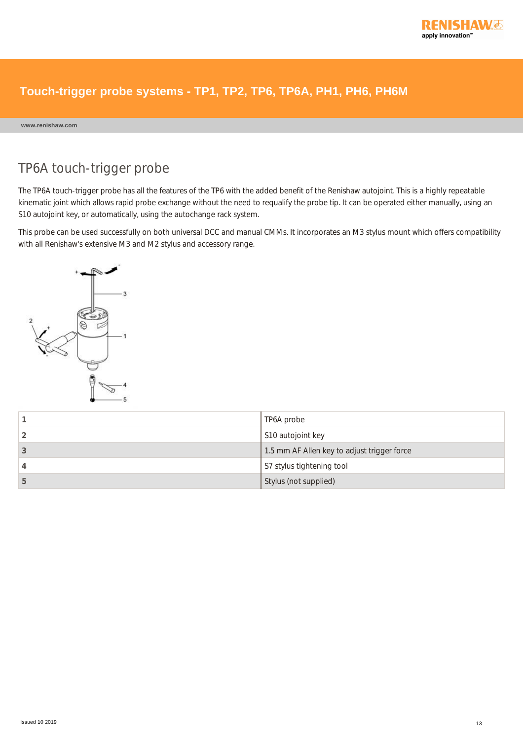

#### **www.renishaw.com**

## TP6A touch-trigger probe

The TP6A touch-trigger probe has all the features of the TP6 with the added benefit of the Renishaw autojoint. This is a highly repeatable kinematic joint which allows rapid probe exchange without the need to requalify the probe tip. It can be operated either manually, using an S10 autojoint key, or automatically, using the autochange rack system.

This probe can be used successfully on both universal DCC and manual CMMs. It incorporates an M3 stylus mount which offers compatibility with all Renishaw's extensive M3 and M2 stylus and accessory range.



|    | TP6A probe                                  |
|----|---------------------------------------------|
|    | S10 autojoint key                           |
|    | 1.5 mm AF Allen key to adjust trigger force |
|    | S7 stylus tightening tool                   |
| b. | Stylus (not supplied)                       |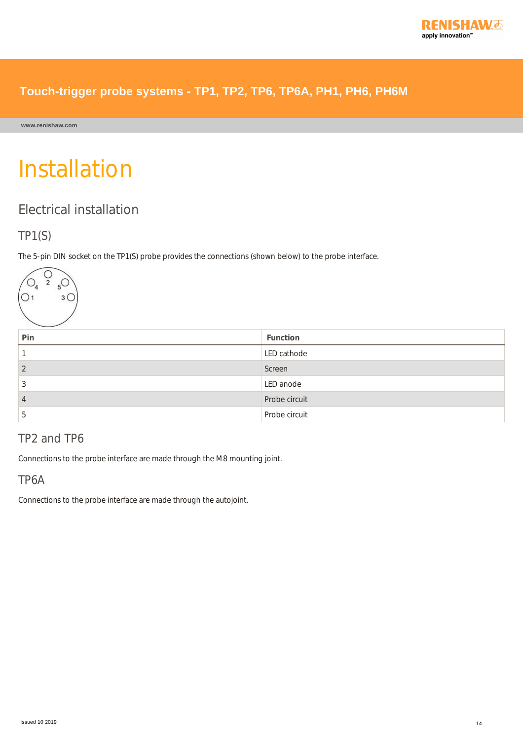

**www.renishaw.com**

# Installation

## Electrical installation

### TP1(S)

The 5-pin DIN socket on the TP1(S) probe provides the connections (shown below) to the probe interface.



| Pin | Function      |
|-----|---------------|
|     | LED cathode   |
|     | Screen        |
| Ä.  | LED anode     |
| 4   | Probe circuit |
| C   | Probe circuit |

## TP2 and TP6

Connections to the probe interface are made through the M8 mounting joint.

### TP6A

Connections to the probe interface are made through the autojoint.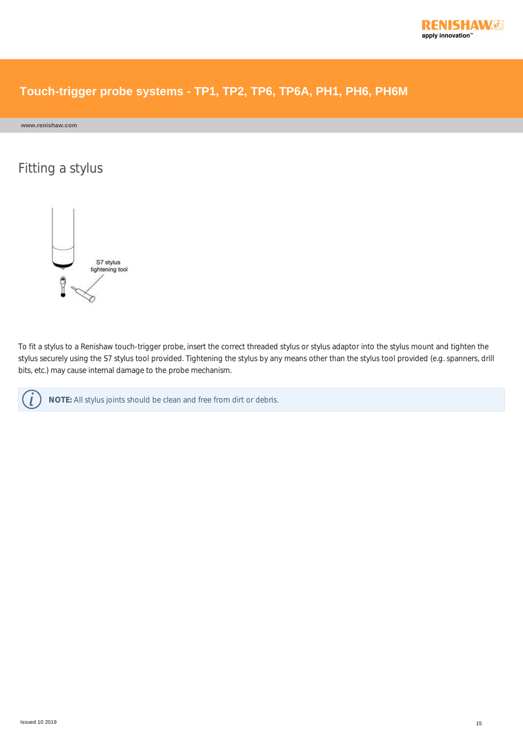

**www.renishaw.com**

## Fitting a stylus



To fit a stylus to a Renishaw touch-trigger probe, insert the correct threaded stylus or stylus adaptor into the stylus mount and tighten the stylus securely using the S7 stylus tool provided. Tightening the stylus by any means other than the stylus tool provided (e.g. spanners, drill bits, etc.) may cause internal damage to the probe mechanism.



**NOTE:** All stylus joints should be clean and free from dirt or debris.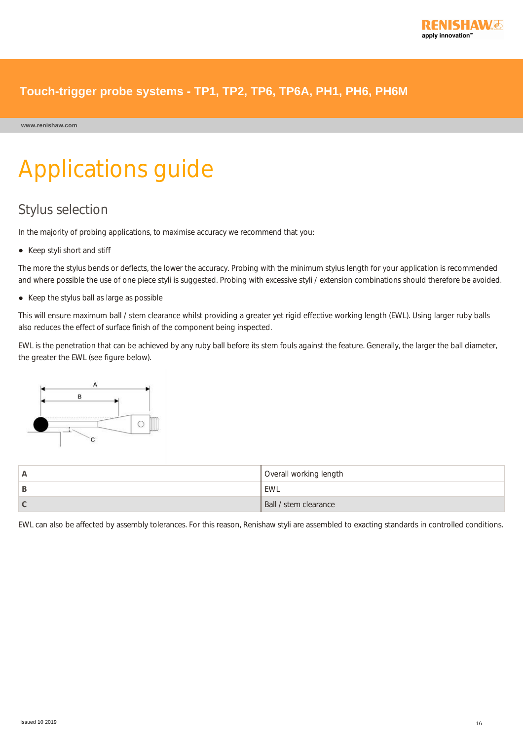**www.renishaw.com**

# Applications guide

## Stylus selection

In the majority of probing applications, to maximise accuracy we recommend that you:

• Keep styli short and stiff

The more the stylus bends or deflects, the lower the accuracy. Probing with the minimum stylus length for your application is recommended and where possible the use of one piece styli is suggested. Probing with excessive styli / extension combinations should therefore be avoided.

• Keep the stylus ball as large as possible

This will ensure maximum ball / stem clearance whilst providing a greater yet rigid effective working length (EWL). Using larger ruby balls also reduces the effect of surface finish of the component being inspected.

EWL is the penetration that can be achieved by any ruby ball before its stem fouls against the feature. Generally, the larger the ball diameter, the greater the EWL (see figure below).



|   | Overall working length |
|---|------------------------|
| ◡ | ' EWL                  |
| v | Ball / stem clearance  |

EWL can also be affected by assembly tolerances. For this reason, Renishaw styli are assembled to exacting standards in controlled conditions.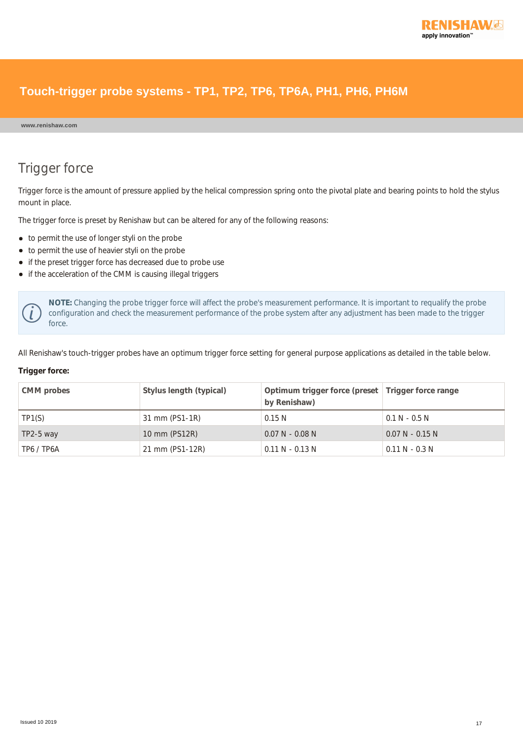

#### **www.renishaw.com**

## Trigger force

Trigger force is the amount of pressure applied by the helical compression spring onto the pivotal plate and bearing points to hold the stylus mount in place.

The trigger force is preset by Renishaw but can be altered for any of the following reasons:

- to permit the use of longer styli on the probe
- to permit the use of heavier styli on the probe
- if the preset trigger force has decreased due to probe use
- if the acceleration of the CMM is causing illegal triggers

**NOTE:** Changing the probe trigger force will affect the probe's measurement performance. It is important to requalify the probe configuration and check the measurement performance of the probe system after any adjustment has been made to the trigger force.

All Renishaw's touch-trigger probes have an optimum trigger force setting for general purpose applications as detailed in the table below.

#### **Trigger force:**

| CMM probes  | Stylus length (typical) | Optimum trigger force (preset   Trigger force range<br>by Renishaw) |                   |
|-------------|-------------------------|---------------------------------------------------------------------|-------------------|
| TP1(S)      | 31 mm (PS1-1R)          | 0.15 N                                                              | $0.1 N - 0.5 N$   |
| $TP2-5$ way | 10 mm (PS12R)           | $0.07$ N - 0.08 N                                                   | $0.07$ N - 0.15 N |
| TP6 / TP6A  | 21 mm (PS1-12R)         | $0.11$ N - 0.13 N                                                   | $0.11$ N - 0.3 N  |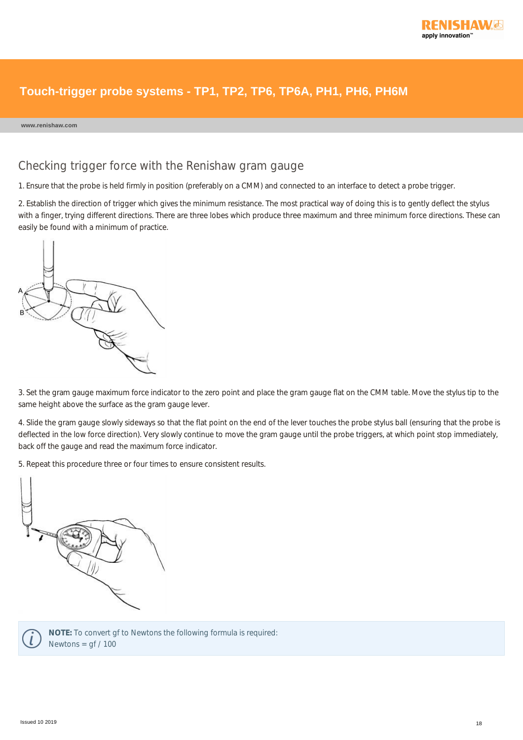

#### **www.renishaw.com**

#### Checking trigger force with the Renishaw gram gauge

1. Ensure that the probe is held firmly in position (preferably on a CMM) and connected to an interface to detect a probe trigger.

2. Establish the direction of trigger which gives the minimum resistance. The most practical way of doing this is to gently deflect the stylus with a finger, trying different directions. There are three lobes which produce three maximum and three minimum force directions. These can easily be found with a minimum of practice.



3. Set the gram gauge maximum force indicator to the zero point and place the gram gauge flat on the CMM table. Move the stylus tip to the same height above the surface as the gram gauge lever.

4. Slide the gram gauge slowly sideways so that the flat point on the end of the lever touches the probe stylus ball (ensuring that the probe is deflected in the low force direction). Very slowly continue to move the gram gauge until the probe triggers, at which point stop immediately, back off the gauge and read the maximum force indicator.

5. Repeat this procedure three or four times to ensure consistent results.





**NOTE:** To convert gf to Newtons the following formula is required: Newtons =  $gf / 100$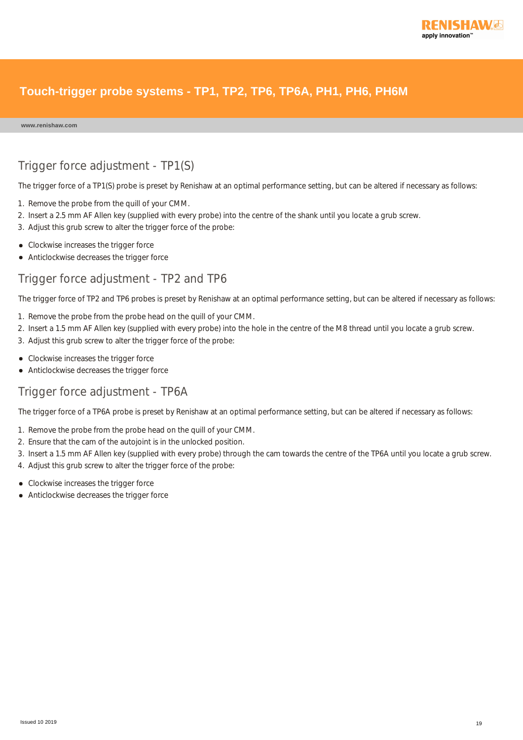

**www.renishaw.com**

### Trigger force adjustment - TP1(S)

The trigger force of a TP1(S) probe is preset by Renishaw at an optimal performance setting, but can be altered if necessary as follows:

- 1. Remove the probe from the quill of your CMM.
- 2. Insert a 2.5 mm AF Allen key (supplied with every probe) into the centre of the shank until you locate a grub screw.
- 3. Adjust this grub screw to alter the trigger force of the probe:
- Clockwise increases the trigger force
- Anticlockwise decreases the trigger force

#### Trigger force adjustment - TP2 and TP6

The trigger force of TP2 and TP6 probes is preset by Renishaw at an optimal performance setting, but can be altered if necessary as follows:

- 1. Remove the probe from the probe head on the quill of your CMM.
- 2. Insert a 1.5 mm AF Allen key (supplied with every probe) into the hole in the centre of the M8 thread until you locate a grub screw.
- 3. Adjust this grub screw to alter the trigger force of the probe:
- Clockwise increases the trigger force
- Anticlockwise decreases the trigger force

#### Trigger force adjustment - TP6A

The trigger force of a TP6A probe is preset by Renishaw at an optimal performance setting, but can be altered if necessary as follows:

- 1. Remove the probe from the probe head on the quill of your CMM.
- 2. Ensure that the cam of the autojoint is in the unlocked position.
- 3. Insert a 1.5 mm AF Allen key (supplied with every probe) through the cam towards the centre of the TP6A until you locate a grub screw.
- 4. Adjust this grub screw to alter the trigger force of the probe:
- Clockwise increases the trigger force
- Anticlockwise decreases the trigger force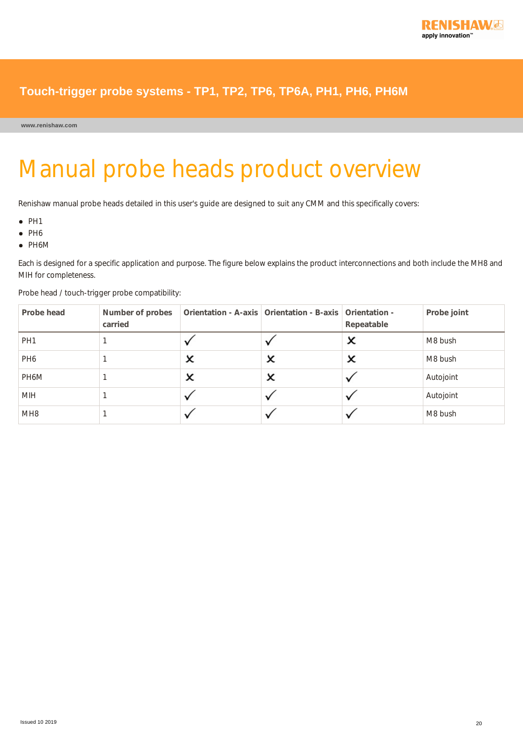

**www.renishaw.com**

# Manual probe heads product overview

Renishaw manual probe heads detailed in this user's guide are designed to suit any CMM and this specifically covers:

- $\bullet$  PH1
- $\bullet$  PH6
- PH6M

Each is designed for a specific application and purpose. The figure below explains the product interconnections and both include the MH8 and MIH for completeness.

| Probe head      | Number of probes<br>carried |   | Orientation - A-axis   Orientation - B-axis   Orientation - | Repeatable | Probe joint |
|-----------------|-----------------------------|---|-------------------------------------------------------------|------------|-------------|
| PH <sub>1</sub> |                             |   |                                                             |            | M8 bush     |
| PH <sub>6</sub> |                             | × | ×                                                           | x          | M8 bush     |
| PH6M            |                             | × | ×                                                           |            | Autojoint   |
| <b>MIH</b>      |                             |   |                                                             |            | Autojoint   |
| MH <sub>8</sub> |                             |   |                                                             |            | M8 bush     |

Probe head / touch-trigger probe compatibility: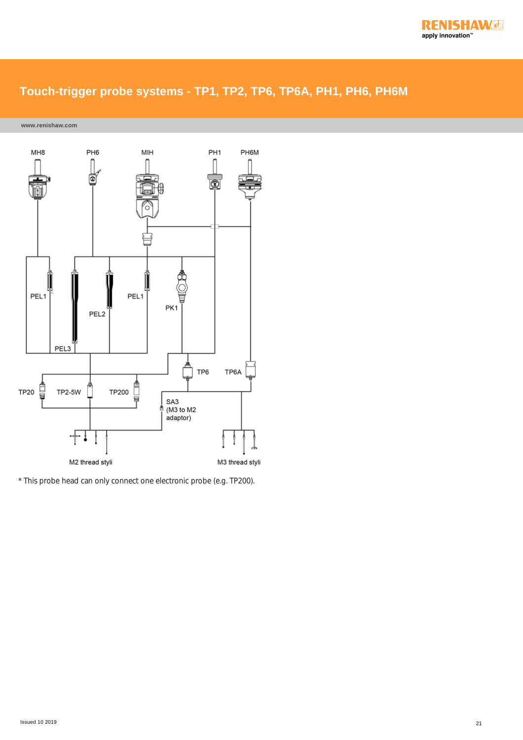

**www.renishaw.com**



\* This probe head can only connect one electronic probe (e.g. TP200).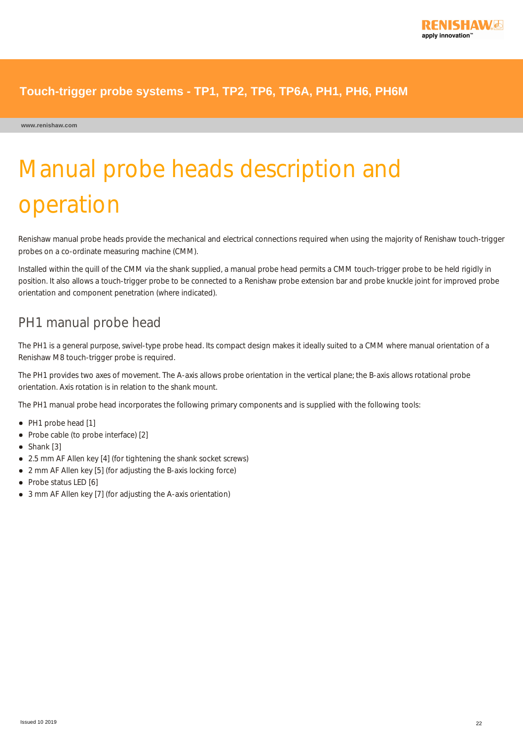

**www.renishaw.com**

# Manual probe heads description and operation

Renishaw manual probe heads provide the mechanical and electrical connections required when using the majority of Renishaw touch-trigger probes on a co-ordinate measuring machine (CMM).

Installed within the quill of the CMM via the shank supplied, a manual probe head permits a CMM touch-trigger probe to be held rigidly in position. It also allows a touch-trigger probe to be connected to a Renishaw probe extension bar and probe knuckle joint for improved probe orientation and component penetration (where indicated).

## PH1 manual probe head

The PH1 is a general purpose, swivel-type probe head. Its compact design makes it ideally suited to a CMM where manual orientation of a Renishaw M8 touch-trigger probe is required.

The PH1 provides two axes of movement. The A-axis allows probe orientation in the vertical plane; the B-axis allows rotational probe orientation. Axis rotation is in relation to the shank mount.

The PH1 manual probe head incorporates the following primary components and is supplied with the following tools:

- PH1 probe head [1]
- Probe cable (to probe interface) [2]
- Shank [3]
- 2.5 mm AF Allen key [4] (for tightening the shank socket screws)
- 2 mm AF Allen key [5] (for adjusting the B-axis locking force)
- Probe status LED [6]
- 3 mm AF Allen key [7] (for adjusting the A-axis orientation)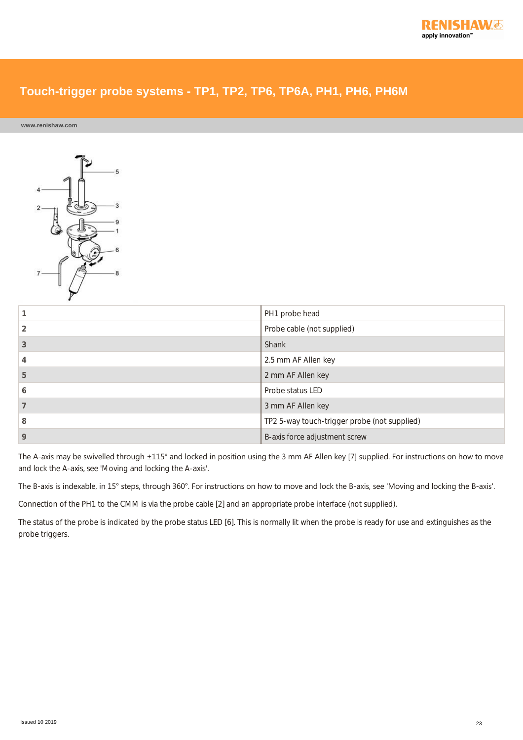**www.renishaw.com**



|   | PH1 probe head                               |
|---|----------------------------------------------|
|   | Probe cable (not supplied)                   |
|   | Shank                                        |
|   | 2.5 mm AF Allen key                          |
| 5 | 2 mm AF Allen key                            |
| 6 | Probe status LED                             |
|   | 3 mm AF Allen key                            |
| 8 | TP2 5-way touch-trigger probe (not supplied) |
| 9 | B-axis force adjustment screw                |

The A-axis may be swivelled through ±115° and locked in position using the 3 mm AF Allen key [7] supplied. For instructions on how to move and lock the A-axis, see 'Moving and locking the A-axis'.

The B-axis is indexable, in 15° steps, through 360°. For instructions on how to move and lock the B-axis, see 'Moving and locking the B-axis'.

Connection of the PH1 to the CMM is via the probe cable [2] and an appropriate probe interface (not supplied).

The status of the probe is indicated by the probe status LED [6]. This is normally lit when the probe is ready for use and extinguishes as the probe triggers.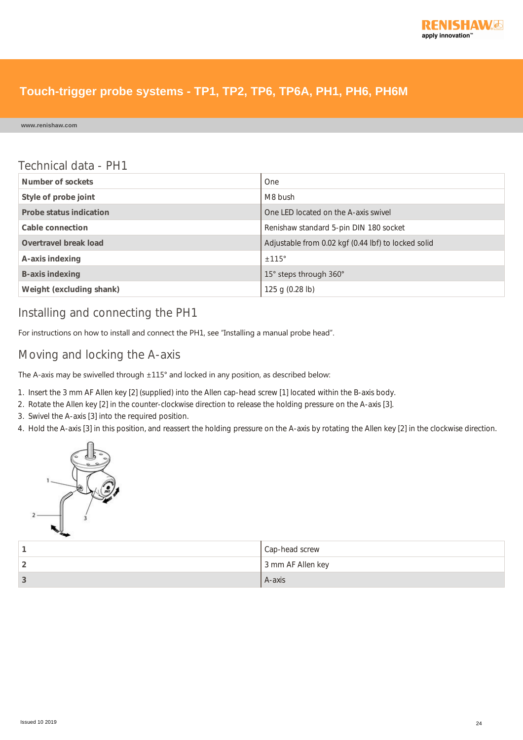

**www.renishaw.com**

#### Technical data - PH1

| Number of sockets        | One                                                 |
|--------------------------|-----------------------------------------------------|
| Style of probe joint     | M8 bush                                             |
| Probe status indication  | One LED located on the A-axis swivel                |
| Cable connection         | Renishaw standard 5-pin DIN 180 socket              |
| Overtravel break load    | Adjustable from 0.02 kgf (0.44 lbf) to locked solid |
| A-axis indexing          | ±115°                                               |
| <b>B-axis indexing</b>   | 15° steps through 360°                              |
| Weight (excluding shank) | 125 g (0.28 lb)                                     |

#### Installing and connecting the PH1

For instructions on how to install and connect the PH1, see "Installing a manual probe head".

#### Moving and locking the A-axis

The A-axis may be swivelled through ±115° and locked in any position, as described below:

- 1. Insert the 3 mm AF Allen key [2] (supplied) into the Allen cap-head screw [1] located within the B-axis body.
- 2. Rotate the Allen key [2] in the counter-clockwise direction to release the holding pressure on the A-axis [3].
- 3. Swivel the A-axis [3] into the required position.
- 4. Hold the A-axis [3] in this position, and reassert the holding pressure on the A-axis by rotating the Allen key [2] in the clockwise direction.



|   | Cap-head screw    |
|---|-------------------|
| - | 3 mm AF Allen key |
|   | A-axis            |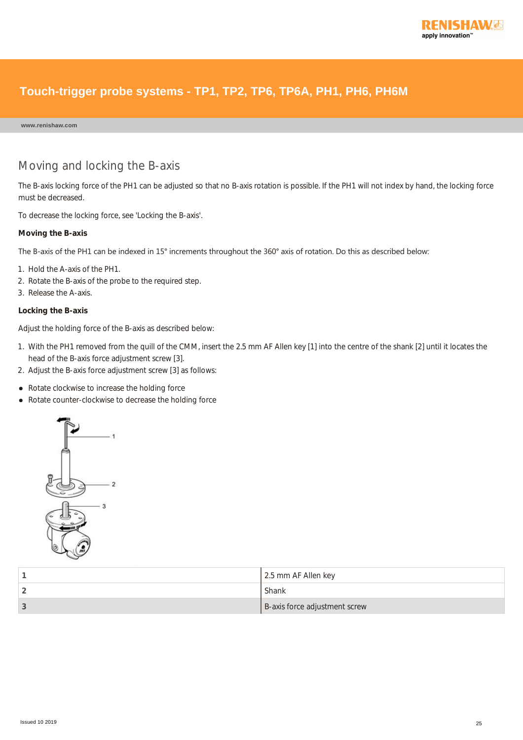

**www.renishaw.com**

#### Moving and locking the B-axis

The B-axis locking force of the PH1 can be adjusted so that no B-axis rotation is possible. If the PH1 will not index by hand, the locking force must be decreased.

To decrease the locking force, see 'Locking the B-axis'.

#### **Moving the B-axis**

The B-axis of the PH1 can be indexed in 15° increments throughout the 360° axis of rotation. Do this as described below:

- 1. Hold the A-axis of the PH1.
- 2. Rotate the B-axis of the probe to the required step.
- 3. Release the A-axis.

#### **Locking the B-axis**

Adjust the holding force of the B-axis as described below:

- 1. With the PH1 removed from the quill of the CMM, insert the 2.5 mm AF Allen key [1] into the centre of the shank [2] until it locates the head of the B-axis force adjustment screw [3].
- 2. Adjust the B-axis force adjustment screw [3] as follows:
- Rotate clockwise to increase the holding force
- Rotate counter-clockwise to decrease the holding force



|    | 2.5 mm AF Allen key           |
|----|-------------------------------|
|    | Shank                         |
| -3 | B-axis force adjustment screw |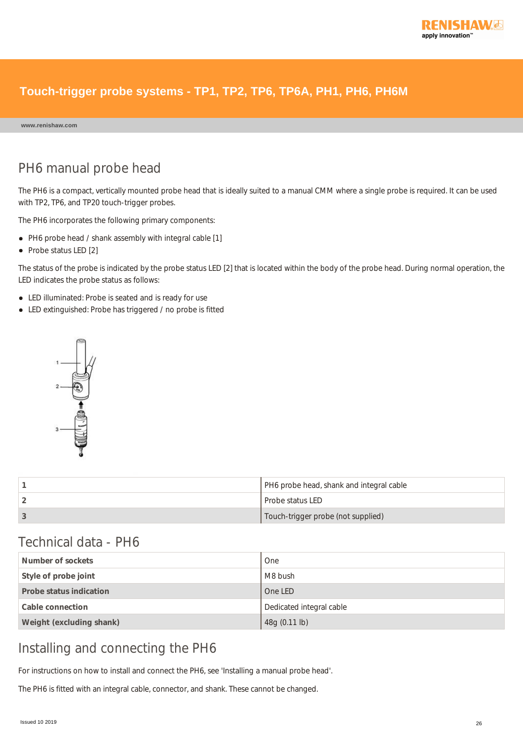

**www.renishaw.com**

## PH6 manual probe head

The PH6 is a compact, vertically mounted probe head that is ideally suited to a manual CMM where a single probe is required. It can be used with TP2, TP6, and TP20 touch-trigger probes.

The PH6 incorporates the following primary components:

- PH6 probe head / shank assembly with integral cable [1]
- Probe status LED [2]

The status of the probe is indicated by the probe status LED [2] that is located within the body of the probe head. During normal operation, the LED indicates the probe status as follows:

- LED illuminated: Probe is seated and is ready for use
- LED extinguished: Probe has triggered / no probe is fitted



| PH6 probe head, shank and integral cable |
|------------------------------------------|
| Probe status LED                         |
| Touch-trigger probe (not supplied)       |

### Technical data - PH6

| Number of sockets        | One                      |
|--------------------------|--------------------------|
| Style of probe joint     | M8 bush                  |
| Probe status indication  | One LED                  |
| Cable connection         | Dedicated integral cable |
| Weight (excluding shank) | 48g (0.11 lb)            |

## Installing and connecting the PH6

For instructions on how to install and connect the PH6, see 'Installing a manual probe head'.

The PH6 is fitted with an integral cable, connector, and shank. These cannot be changed.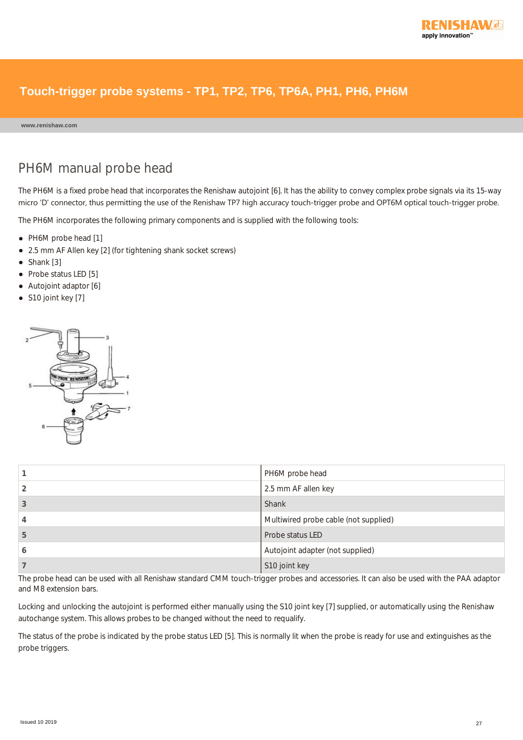

**www.renishaw.com**

## PH6M manual probe head

The PH6M is a fixed probe head that incorporates the Renishaw autojoint [6]. It has the ability to convey complex probe signals via its 15-way micro 'D' connector, thus permitting the use of the Renishaw TP7 high accuracy touch‐trigger probe and OPT6M optical touch‐trigger probe.

The PH6M incorporates the following primary components and is supplied with the following tools:

- PH6M probe head [1]
- 2.5 mm AF Allen key [2] (for tightening shank socket screws)
- Shank [3]
- Probe status LED [5]
- Autojoint adaptor [6]
- S10 joint key [7]



|   | PH6M probe head                       |
|---|---------------------------------------|
|   | 2.5 mm AF allen key                   |
| 3 | Shank                                 |
|   | Multiwired probe cable (not supplied) |
| 5 | Probe status LED                      |
| 6 | Autojoint adapter (not supplied)      |
|   | S10 joint key                         |

The probe head can be used with all Renishaw standard CMM touch-trigger probes and accessories. It can also be used with the PAA adaptor and M8 extension bars.

Locking and unlocking the autojoint is performed either manually using the S10 joint key [7] supplied, or automatically using the Renishaw autochange system. This allows probes to be changed without the need to requalify.

The status of the probe is indicated by the probe status LED [5]. This is normally lit when the probe is ready for use and extinguishes as the probe triggers.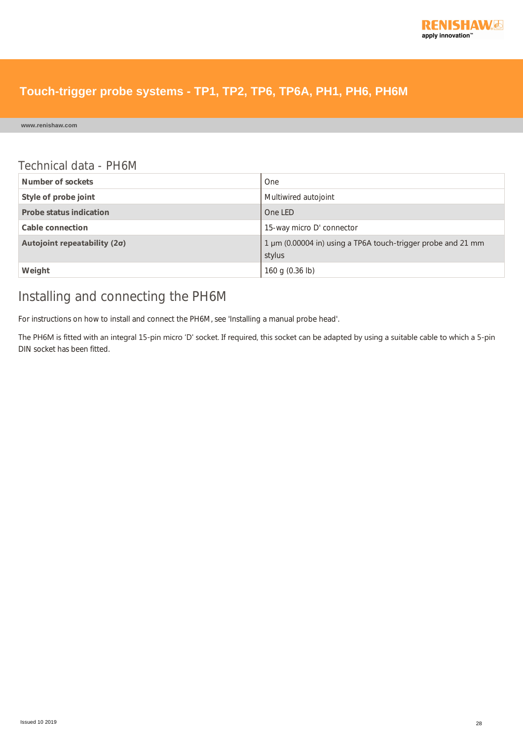

**www.renishaw.com**

#### Technical data - PH6M

| Number of sockets                   | One                                                                    |
|-------------------------------------|------------------------------------------------------------------------|
| Style of probe joint                | Multiwired autojoint                                                   |
| Probe status indication             | One LED                                                                |
| Cable connection                    | 15-way micro D' connector                                              |
| Autojoint repeatability $(2\sigma)$ | 1 µm (0.00004 in) using a TP6A touch-trigger probe and 21 mm<br>stylus |
| Weight                              | 160 g (0.36 lb)                                                        |

## Installing and connecting the PH6M

For instructions on how to install and connect the PH6M, see 'Installing a manual probe head'.

The PH6M is fitted with an integral 15‐pin micro 'D' socket. If required, this socket can be adapted by using a suitable cable to which a 5‐pin DIN socket has been fitted.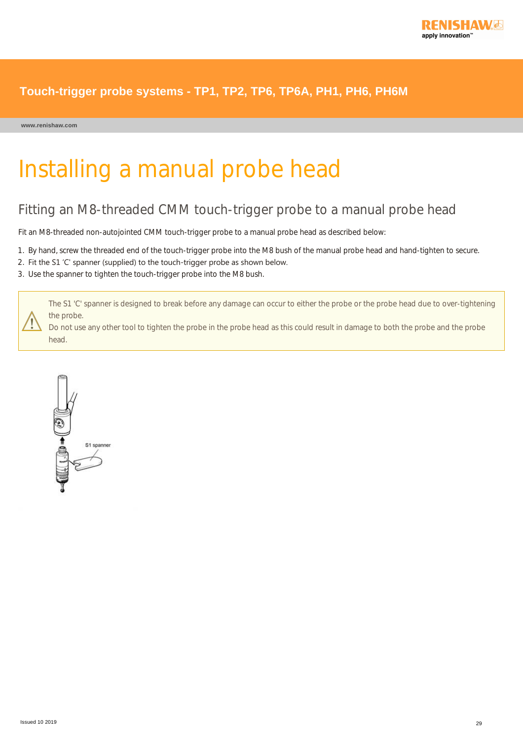

# Installing a manual probe head

## Fitting an M8-threaded CMM touch-trigger probe to a manual probe head

Fit an M8-threaded non-autojointed CMM touch-trigger probe to a manual probe head as described below:

- 1. By hand, screw the threaded end of the touch-trigger probe into the M8 bush of the manual probe head and hand-tighten to secure.
- 2. Fit the S1 'C' spanner (supplied) to the touch-trigger probe as shown below.
- 3. Use the spanner to tighten the touch-trigger probe into the M8 bush.

The S1 'C' spanner is designed to break before any damage can occur to either the probe or the probe head due to over-tightening the probe.

Do not use any other tool to tighten the probe in the probe head as this could result in damage to both the probe and the probe head.

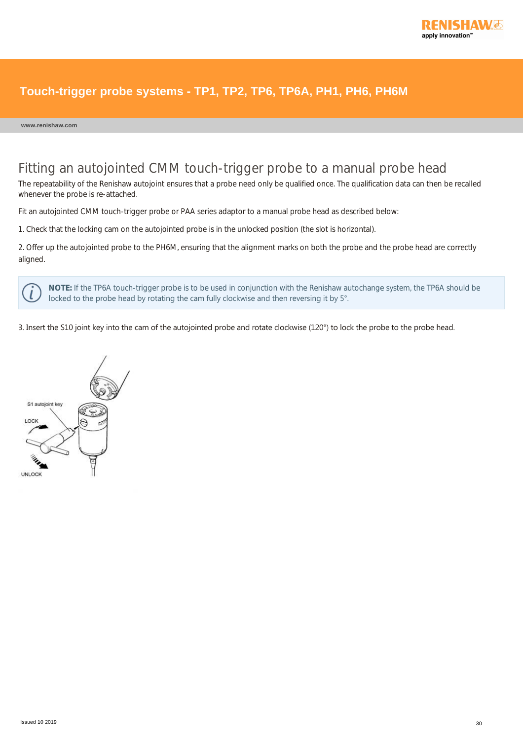

### Fitting an autojointed CMM touch-trigger probe to a manual probe head

The repeatability of the Renishaw autojoint ensures that a probe need only be qualified once. The qualification data can then be recalled whenever the probe is re-attached.

Fit an autojointed CMM touch-trigger probe or PAA series adaptor to a manual probe head as described below:

1. Check that the locking cam on the autojointed probe is in the unlocked position (the slot is horizontal).

2. Offer up the autojointed probe to the PH6M, ensuring that the alignment marks on both the probe and the probe head are correctly aligned.

**NOTE:** If the TP6A touch-trigger probe is to be used in conjunction with the Renishaw autochange system, the TP6A should be locked to the probe head by rotating the cam fully clockwise and then reversing it by 5°.

3. Insert the S10 joint key into the cam of the autojointed probe and rotate clockwise (120°) to lock the probe to the probe head.

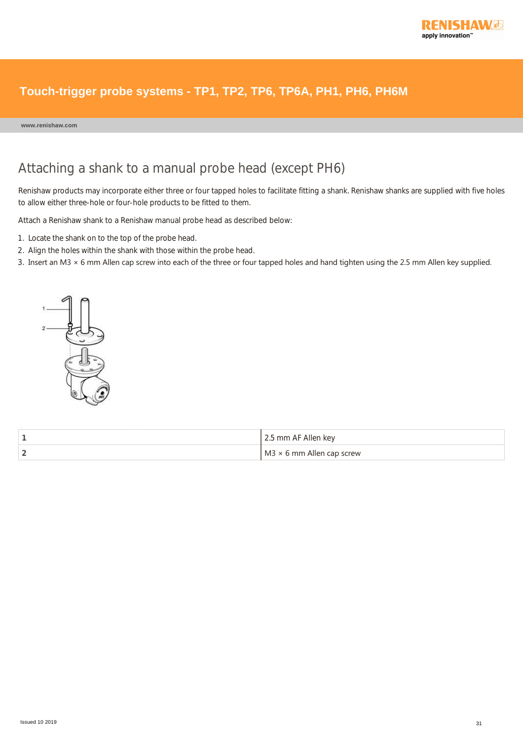

**www.renishaw.com**

## Attaching a shank to a manual probe head (except PH6)

Renishaw products may incorporate either three or four tapped holes to facilitate fitting a shank. Renishaw shanks are supplied with five holes to allow either three-hole or four-hole products to be fitted to them.

Attach a Renishaw shank to a Renishaw manual probe head as described below:

- 1. Locate the shank on to the top of the probe head.
- 2. Align the holes within the shank with those within the probe head.
- 3. Insert an M3 × 6 mm Allen cap screw into each of the three or four tapped holes and hand tighten using the 2.5 mm Allen key supplied.



|   | 2.5 mm AF Allen key              |
|---|----------------------------------|
| , | $M3 \times 6$ mm Allen cap screw |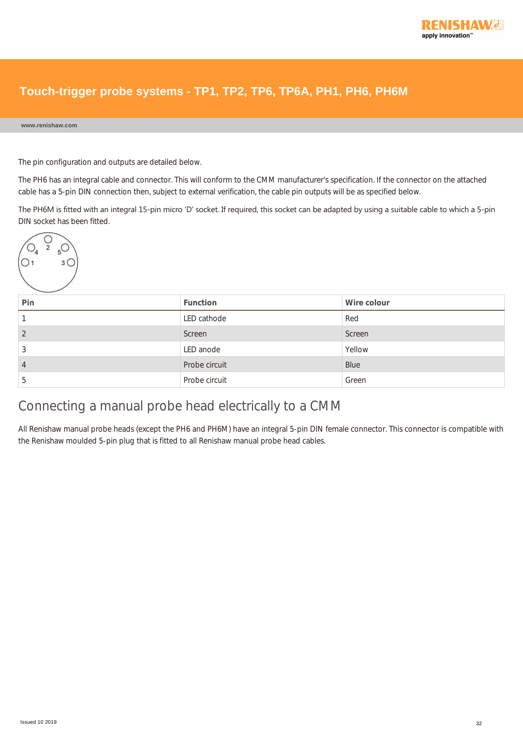

#### **www.renishaw.com**

The pin configuration and outputs are detailed below.

The PH6 has an integral cable and connector. This will conform to the CMM manufacturer's specification. If the connector on the attached cable has a 5-pin DIN connection then, subject to external verification, the cable pin outputs will be as specified below.

The PH6M is fitted with an integral 15‐pin micro 'D' socket. If required, this socket can be adapted by using a suitable cable to which a 5‐pin DIN socket has been fitted.



| Pin | <b>Function</b> | Wire colour |
|-----|-----------------|-------------|
|     | LED cathode     | Red         |
| ↑   | Screen          | Screen      |
|     | LED anode       | Yellow      |
| 4   | Probe circuit   | Blue        |
| .5  | Probe circuit   | Green       |

## Connecting a manual probe head electrically to a CMM

All Renishaw manual probe heads (except the PH6 and PH6M) have an integral 5-pin DIN female connector. This connector is compatible with the Renishaw moulded 5-pin plug that is fitted to all Renishaw manual probe head cables.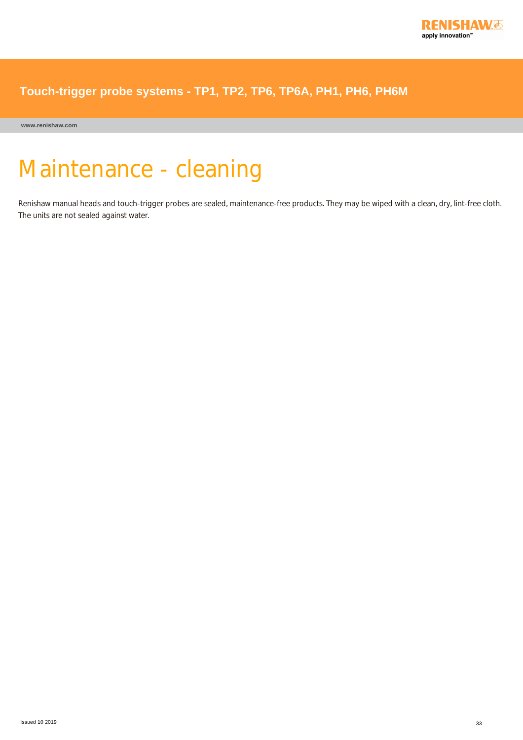

**www.renishaw.com**

# Maintenance - cleaning

Renishaw manual heads and touch-trigger probes are sealed, maintenance-free products. They may be wiped with a clean, dry, lint-free cloth. The units are not sealed against water.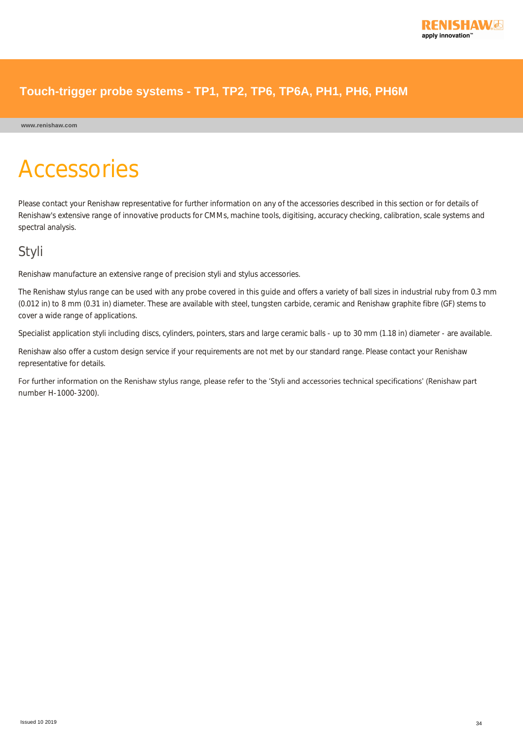

#### **www.renishaw.com**

# Accessories

Please contact your Renishaw representative for further information on any of the accessories described in this section or for details of Renishaw's extensive range of innovative products for CMMs, machine tools, digitising, accuracy checking, calibration, scale systems and spectral analysis.

### Styli

Renishaw manufacture an extensive range of precision styli and stylus accessories.

The Renishaw stylus range can be used with any probe covered in this guide and offers a variety of ball sizes in industrial ruby from 0.3 mm (0.012 in) to 8 mm (0.31 in) diameter. These are available with steel, tungsten carbide, ceramic and Renishaw graphite fibre (GF) stems to cover a wide range of applications.

Specialist application styli including discs, cylinders, pointers, stars and large ceramic balls - up to 30 mm (1.18 in) diameter - are available.

Renishaw also offer a custom design service if your requirements are not met by our standard range. Please contact your Renishaw representative for details.

For further information on the Renishaw stylus range, please refer to the 'Styli and accessories technical specifications' (Renishaw part number H-1000-3200).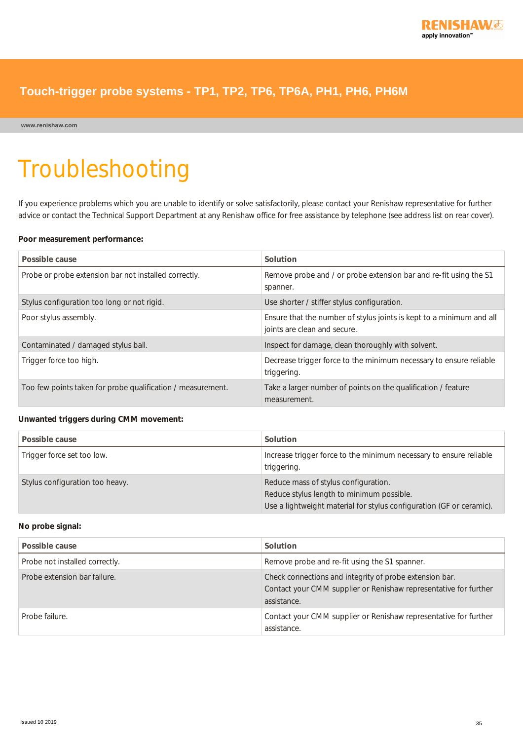**www.renishaw.com**

# Troubleshooting

If you experience problems which you are unable to identify or solve satisfactorily, please contact your Renishaw representative for further advice or contact the Technical Support Department at any Renishaw office for free assistance by telephone (see address list on rear cover).

#### **Poor measurement performance:**

| Possible cause                                              | Solution                                                                                             |
|-------------------------------------------------------------|------------------------------------------------------------------------------------------------------|
| Probe or probe extension bar not installed correctly.       | Remove probe and / or probe extension bar and re-fit using the S1<br>spanner.                        |
| Stylus configuration too long or not rigid.                 | Use shorter / stiffer stylus configuration.                                                          |
| Poor stylus assembly.                                       | Ensure that the number of stylus joints is kept to a minimum and all<br>joints are clean and secure. |
| Contaminated / damaged stylus ball.                         | Inspect for damage, clean thoroughly with solvent.                                                   |
| Trigger force too high.                                     | Decrease trigger force to the minimum necessary to ensure reliable<br>triggering.                    |
| Too few points taken for probe qualification / measurement. | Take a larger number of points on the qualification / feature<br>measurement.                        |

#### **Unwanted triggers during CMM movement:**

| Possible cause                  | Solution                                                                          |
|---------------------------------|-----------------------------------------------------------------------------------|
| Trigger force set too low.      | Increase trigger force to the minimum necessary to ensure reliable<br>triggering. |
| Stylus configuration too heavy. | Reduce mass of stylus configuration.<br>Reduce stylus length to minimum possible. |
|                                 | Use a lightweight material for stylus configuration (GF or ceramic).              |

#### **No probe signal:**

| Possible cause                 | Solution                                                                                                                                   |
|--------------------------------|--------------------------------------------------------------------------------------------------------------------------------------------|
| Probe not installed correctly. | Remove probe and re-fit using the S1 spanner.                                                                                              |
| Probe extension bar failure.   | Check connections and integrity of probe extension bar.<br>Contact your CMM supplier or Renishaw representative for further<br>assistance. |
| Probe failure.                 | Contact your CMM supplier or Renishaw representative for further<br>assistance.                                                            |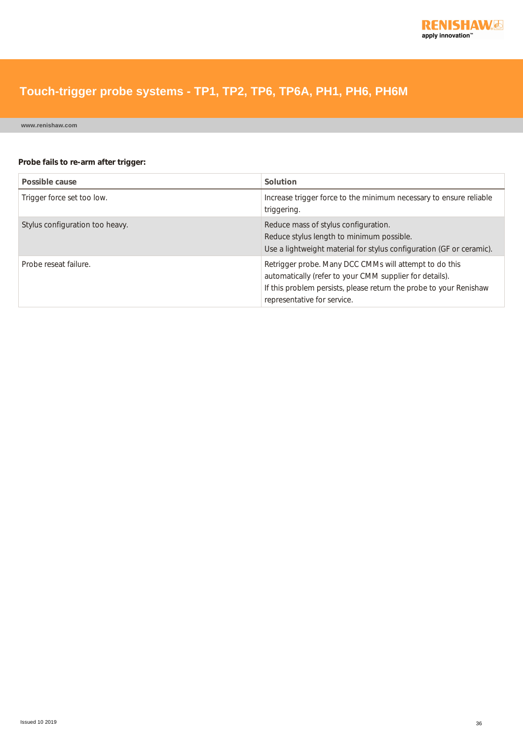

**www.renishaw.com**

#### **Probe fails to re-arm after trigger:**

| Possible cause                  | Solution                                                                                                                                                                                                               |  |
|---------------------------------|------------------------------------------------------------------------------------------------------------------------------------------------------------------------------------------------------------------------|--|
| Trigger force set too low.      | Increase trigger force to the minimum necessary to ensure reliable<br>triggering.                                                                                                                                      |  |
| Stylus configuration too heavy. | Reduce mass of stylus configuration.<br>Reduce stylus length to minimum possible.<br>Use a lightweight material for stylus configuration (GF or ceramic).                                                              |  |
| Probe reseat failure.           | Retrigger probe. Many DCC CMMs will attempt to do this<br>automatically (refer to your CMM supplier for details).<br>If this problem persists, please return the probe to your Renishaw<br>representative for service. |  |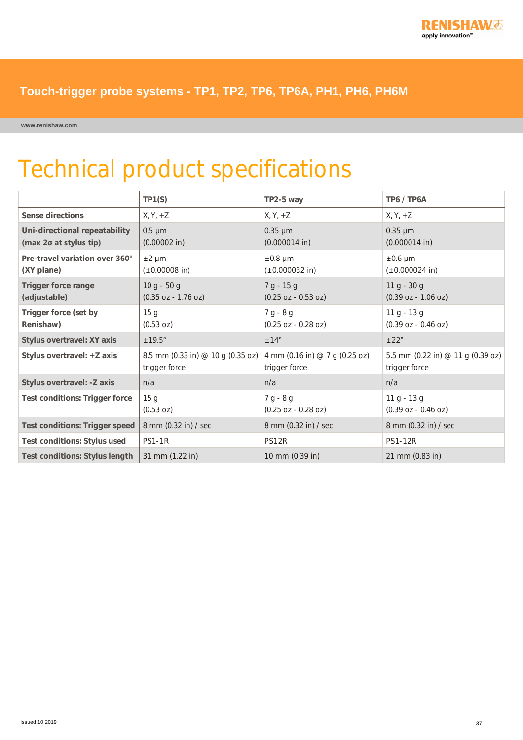

**www.renishaw.com**

## Technical product specifications

|                                                         | TP1(S)                                             | TP2-5 way                                       | TP6 / TP6A                                         |
|---------------------------------------------------------|----------------------------------------------------|-------------------------------------------------|----------------------------------------------------|
| Sense directions                                        | $X, Y, +Z$                                         | $X, Y, +Z$                                      | $X, Y, +Z$                                         |
| Uni-directional repeatability<br>(max 2o at stylus tip) | $0.5 \mu m$<br>$(0.00002$ in)                      | $0.35 \mu m$<br>$(0.000014$ in)                 | $0.35 \mu m$<br>$(0.000014$ in)                    |
| Pre-travel variation over 360°<br>(XY plane)            | $±2 \mu m$<br>$(\pm 0.00008)$ in)                  | $±0.8 \mu m$<br>$(\pm 0.000032)$ in)            | $\pm 0.6$ µm<br>$(\pm 0.000024)$ in)               |
| <b>Trigger force range</b><br>(adjustable)              | $10 g - 50 g$<br>$(0.35 oz - 1.76 oz)$             | $7 g - 15 g$<br>$(0.25 oz - 0.53 oz)$           | $11 g - 30 g$<br>$(0.39 oz - 1.06 oz)$             |
| Trigger force (set by<br>Renishaw)                      | 15 <sub>g</sub><br>(0.53 oz)                       | $7 g - 8 g$<br>$(0.25 oz - 0.28 oz)$            | $11 g - 13 g$<br>$(0.39 oz - 0.46 oz)$             |
| Stylus overtravel: XY axis                              | $±19.5^\circ$                                      | ±14°                                            | ±22°                                               |
| Stylus overtravel: +Z axis                              | 8.5 mm (0.33 in) @ 10 g (0.35 oz)<br>trigger force | 4 mm (0.16 in) @ 7 g (0.25 oz)<br>trigger force | 5.5 mm (0.22 in) @ 11 g (0.39 oz)<br>trigger force |
| Stylus overtravel: - Z axis                             | n/a                                                | n/a                                             | n/a                                                |
| <b>Test conditions: Trigger force</b>                   | 15 <sub>g</sub><br>(0.53 oz)                       | $7 g - 8 g$<br>$(0.25 oz - 0.28 oz)$            | $11 g - 13 g$<br>$(0.39 oz - 0.46 oz)$             |
| <b>Test conditions: Trigger speed</b>                   | 8 mm (0.32 in) / sec                               | 8 mm (0.32 in) / sec                            | 8 mm (0.32 in) / sec                               |
| <b>Test conditions: Stylus used</b>                     | <b>PS1-1R</b>                                      | PS12R                                           | <b>PS1-12R</b>                                     |
| <b>Test conditions: Stylus length</b>                   | 31 mm (1.22 in)                                    | 10 mm (0.39 in)                                 | 21 mm (0.83 in)                                    |